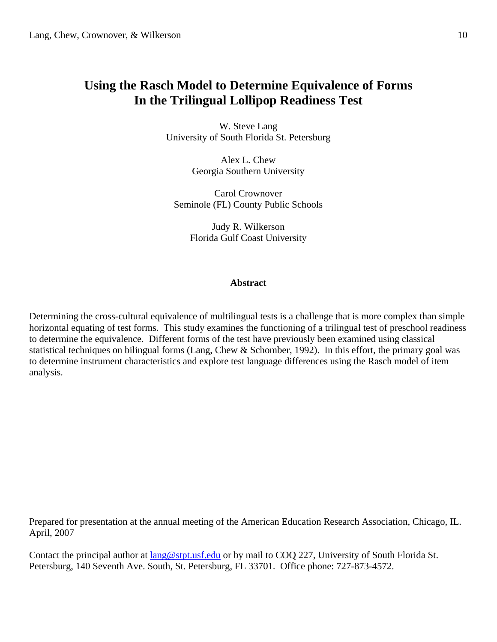# **Using the Rasch Model to Determine Equivalence of Forms In the Trilingual Lollipop Readiness Test**

W. Steve Lang University of South Florida St. Petersburg

> Alex L. Chew Georgia Southern University

Carol Crownover Seminole (FL) County Public Schools

> Judy R. Wilkerson Florida Gulf Coast University

## **Abstract**

Determining the cross-cultural equivalence of multilingual tests is a challenge that is more complex than simple horizontal equating of test forms. This study examines the functioning of a trilingual test of preschool readiness to determine the equivalence. Different forms of the test have previously been examined using classical statistical techniques on bilingual forms (Lang, Chew & Schomber, 1992). In this effort, the primary goal was to determine instrument characteristics and explore test language differences using the Rasch model of item analysis.

Prepared for presentation at the annual meeting of the American Education Research Association, Chicago, IL. April, 2007

Contact the principal author at lang@stpt.usf.edu or by mail to COQ 227, University of South Florida St. Petersburg, 140 Seventh Ave. South, St. Petersburg, FL 33701. Office phone: 727-873-4572.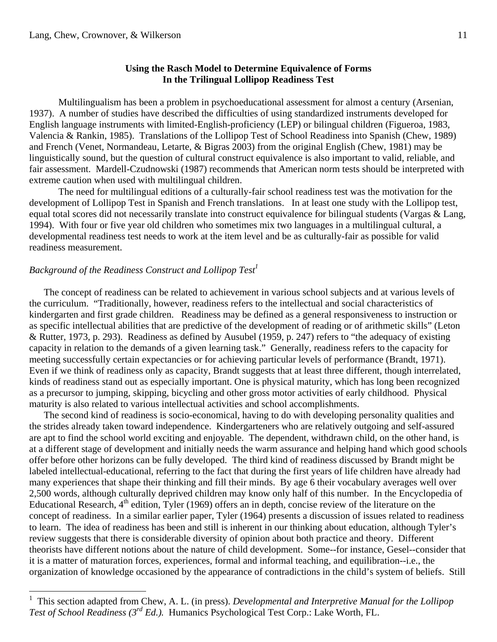# **Using the Rasch Model to Determine Equivalence of Forms In the Trilingual Lollipop Readiness Test**

 Multilingualism has been a problem in psychoeducational assessment for almost a century (Arsenian, 1937). A number of studies have described the difficulties of using standardized instruments developed for English language instruments with limited-English-proficiency (LEP) or bilingual children (Figueroa, 1983, Valencia & Rankin, 1985). Translations of the Lollipop Test of School Readiness into Spanish (Chew, 1989) and French (Venet, Normandeau, Letarte, & Bigras 2003) from the original English (Chew, 1981) may be linguistically sound, but the question of cultural construct equivalence is also important to valid, reliable, and fair assessment. Mardell-Czudnowski (1987) recommends that American norm tests should be interpreted with extreme caution when used with multilingual children.

 The need for multilingual editions of a culturally-fair school readiness test was the motivation for the development of Lollipop Test in Spanish and French translations. In at least one study with the Lollipop test, equal total scores did not necessarily translate into construct equivalence for bilingual students (Vargas & Lang, 1994). With four or five year old children who sometimes mix two languages in a multilingual cultural, a developmental readiness test needs to work at the item level and be as culturally-fair as possible for valid readiness measurement.

# *Background of the Readiness Construct and Lollipop Test*<sup>1</sup>

1

 The concept of readiness can be related to achievement in various school subjects and at various levels of the curriculum. "Traditionally, however, readiness refers to the intellectual and social characteristics of kindergarten and first grade children. Readiness may be defined as a general responsiveness to instruction or as specific intellectual abilities that are predictive of the development of reading or of arithmetic skills" (Leton & Rutter, 1973, p. 293). Readiness as defined by Ausubel (1959, p. 247) refers to "the adequacy of existing capacity in relation to the demands of a given learning task." Generally, readiness refers to the capacity for meeting successfully certain expectancies or for achieving particular levels of performance (Brandt, 1971). Even if we think of readiness only as capacity, Brandt suggests that at least three different, though interrelated, kinds of readiness stand out as especially important. One is physical maturity, which has long been recognized as a precursor to jumping, skipping, bicycling and other gross motor activities of early childhood. Physical maturity is also related to various intellectual activities and school accomplishments.

 The second kind of readiness is socio-economical, having to do with developing personality qualities and the strides already taken toward independence. Kindergarteners who are relatively outgoing and self-assured are apt to find the school world exciting and enjoyable. The dependent, withdrawn child, on the other hand, is at a different stage of development and initially needs the warm assurance and helping hand which good schools offer before other horizons can be fully developed. The third kind of readiness discussed by Brandt might be labeled intellectual-educational, referring to the fact that during the first years of life children have already had many experiences that shape their thinking and fill their minds. By age 6 their vocabulary averages well over 2,500 words, although culturally deprived children may know only half of this number. In the Encyclopedia of Educational Research,  $4<sup>th</sup>$  edition, Tyler (1969) offers an in depth, concise review of the literature on the concept of readiness. In a similar earlier paper, Tyler (1964) presents a discussion of issues related to readiness to learn. The idea of readiness has been and still is inherent in our thinking about education, although Tyler's review suggests that there is considerable diversity of opinion about both practice and theory. Different theorists have different notions about the nature of child development. Some--for instance, Gesel--consider that it is a matter of maturation forces, experiences, formal and informal teaching, and equilibration--i.e., the organization of knowledge occasioned by the appearance of contradictions in the child's system of beliefs. Still

<sup>1</sup> This section adapted from Chew, A. L. (in press). *Developmental and Interpretive Manual for the Lollipop Test of School Readiness (3rd Ed.).* Humanics Psychological Test Corp.: Lake Worth, FL.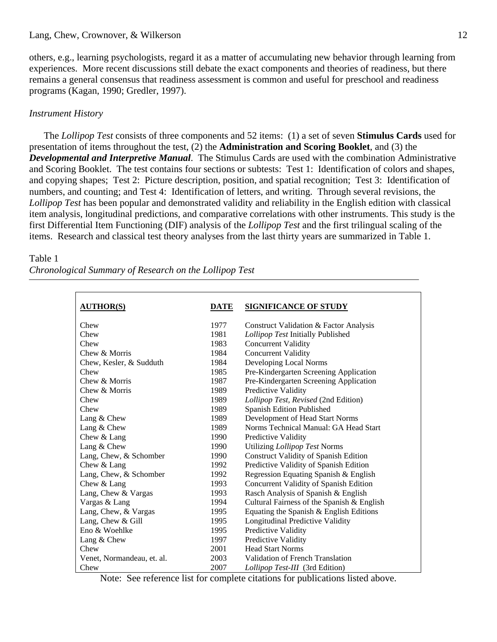others, e.g., learning psychologists, regard it as a matter of accumulating new behavior through learning from experiences. More recent discussions still debate the exact components and theories of readiness, but there remains a general consensus that readiness assessment is common and useful for preschool and readiness programs (Kagan, 1990; Gredler, 1997).

# *Instrument History*

 The *Lollipop Test* consists of three components and 52 items: (1) a set of seven **Stimulus Cards** used for presentation of items throughout the test, (2) the **Administration and Scoring Booklet**, and (3) the *Developmental and Interpretive Manual*. The Stimulus Cards are used with the combination Administrative and Scoring Booklet. The test contains four sections or subtests: Test 1: Identification of colors and shapes, and copying shapes; Test 2: Picture description, position, and spatial recognition; Test 3: Identification of numbers, and counting; and Test 4: Identification of letters, and writing. Through several revisions, the *Lollipop Test* has been popular and demonstrated validity and reliability in the English edition with classical item analysis, longitudinal predictions, and comparative correlations with other instruments. This study is the first Differential Item Functioning (DIF) analysis of the *Lollipop Test* and the first trilingual scaling of the items. Research and classical test theory analyses from the last thirty years are summarized in Table 1.

#### Table 1

*Chronological Summary of Research on the Lollipop Test* 

| <b>AUTHOR(S)</b>           | DATE | <b>SIGNIFICANCE OF STUDY</b>                 |
|----------------------------|------|----------------------------------------------|
| Chew                       | 1977 | Construct Validation & Factor Analysis       |
| Chew                       | 1981 | Lollipop Test Initially Published            |
| Chew                       | 1983 | <b>Concurrent Validity</b>                   |
| Chew & Morris              | 1984 | <b>Concurrent Validity</b>                   |
| Chew, Kesler, & Sudduth    | 1984 | Developing Local Norms                       |
| Chew                       | 1985 | Pre-Kindergarten Screening Application       |
| Chew & Morris              | 1987 | Pre-Kindergarten Screening Application       |
| Chew & Morris              | 1989 | Predictive Validity                          |
| Chew                       | 1989 | Lollipop Test, Revised (2nd Edition)         |
| Chew                       | 1989 | Spanish Edition Published                    |
| Lang & Chew                | 1989 | Development of Head Start Norms              |
| Lang & Chew                | 1989 | Norms Technical Manual: GA Head Start        |
| Chew & Lang                | 1990 | Predictive Validity                          |
| Lang & Chew                | 1990 | Utilizing Lollipop Test Norms                |
| Lang, Chew, & Schomber     | 1990 | <b>Construct Validity of Spanish Edition</b> |
| Chew & Lang                | 1992 | Predictive Validity of Spanish Edition       |
| Lang, Chew, & Schomber     | 1992 | Regression Equating Spanish & English        |
| Chew & Lang                | 1993 | Concurrent Validity of Spanish Edition       |
| Lang, Chew & Vargas        | 1993 | Rasch Analysis of Spanish & English          |
| Vargas & Lang              | 1994 | Cultural Fairness of the Spanish & English   |
| Lang, Chew, & Vargas       | 1995 | Equating the Spanish & English Editions      |
| Lang, Chew & Gill          | 1995 | Longitudinal Predictive Validity             |
| Eno & Woehlke              | 1995 | Predictive Validity                          |
| Lang & Chew                | 1997 | Predictive Validity                          |
| Chew                       | 2001 | <b>Head Start Norms</b>                      |
| Venet, Normandeau, et. al. | 2003 | Validation of French Translation             |
| Chew                       | 2007 | Lollipop Test-III (3rd Edition)              |

Note: See reference list for complete citations for publications listed above.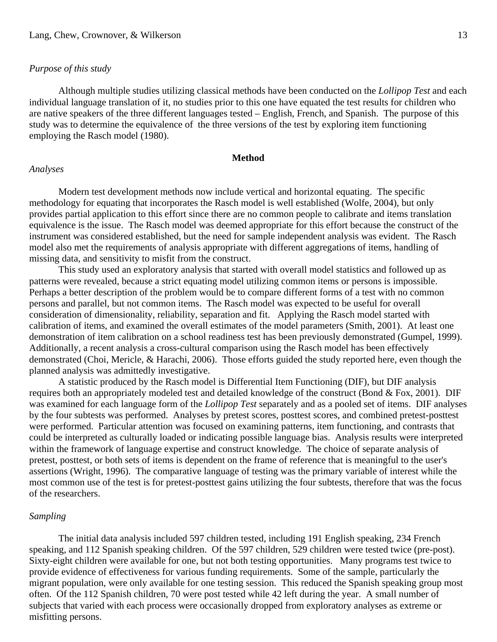### *Purpose of this study*

 Although multiple studies utilizing classical methods have been conducted on the *Lollipop Test* and each individual language translation of it, no studies prior to this one have equated the test results for children who are native speakers of the three different languages tested – English, French, and Spanish. The purpose of this study was to determine the equivalence of the three versions of the test by exploring item functioning employing the Rasch model (1980).

### **Method**

### *Analyses*

 Modern test development methods now include vertical and horizontal equating. The specific methodology for equating that incorporates the Rasch model is well established (Wolfe, 2004), but only provides partial application to this effort since there are no common people to calibrate and items translation equivalence is the issue. The Rasch model was deemed appropriate for this effort because the construct of the instrument was considered established, but the need for sample independent analysis was evident. The Rasch model also met the requirements of analysis appropriate with different aggregations of items, handling of missing data, and sensitivity to misfit from the construct.

 This study used an exploratory analysis that started with overall model statistics and followed up as patterns were revealed, because a strict equating model utilizing common items or persons is impossible. Perhaps a better description of the problem would be to compare different forms of a test with no common persons and parallel, but not common items. The Rasch model was expected to be useful for overall consideration of dimensionality, reliability, separation and fit. Applying the Rasch model started with calibration of items, and examined the overall estimates of the model parameters (Smith, 2001). At least one demonstration of item calibration on a school readiness test has been previously demonstrated (Gumpel, 1999). Additionally, a recent analysis a cross-cultural comparison using the Rasch model has been effectively demonstrated (Choi, Mericle, & Harachi, 2006). Those efforts guided the study reported here, even though the planned analysis was admittedly investigative.

 A statistic produced by the Rasch model is Differential Item Functioning (DIF), but DIF analysis requires both an appropriately modeled test and detailed knowledge of the construct (Bond & Fox, 2001). DIF was examined for each language form of the *Lollipop Test* separately and as a pooled set of items. DIF analyses by the four subtests was performed. Analyses by pretest scores, posttest scores, and combined pretest-posttest were performed. Particular attention was focused on examining patterns, item functioning, and contrasts that could be interpreted as culturally loaded or indicating possible language bias. Analysis results were interpreted within the framework of language expertise and construct knowledge. The choice of separate analysis of pretest, posttest, or both sets of items is dependent on the frame of reference that is meaningful to the user's assertions (Wright, 1996). The comparative language of testing was the primary variable of interest while the most common use of the test is for pretest-posttest gains utilizing the four subtests, therefore that was the focus of the researchers.

#### *Sampling*

 The initial data analysis included 597 children tested, including 191 English speaking, 234 French speaking, and 112 Spanish speaking children. Of the 597 children, 529 children were tested twice (pre-post). Sixty-eight children were available for one, but not both testing opportunities. Many programs test twice to provide evidence of effectiveness for various funding requirements. Some of the sample, particularly the migrant population, were only available for one testing session. This reduced the Spanish speaking group most often. Of the 112 Spanish children, 70 were post tested while 42 left during the year. A small number of subjects that varied with each process were occasionally dropped from exploratory analyses as extreme or misfitting persons.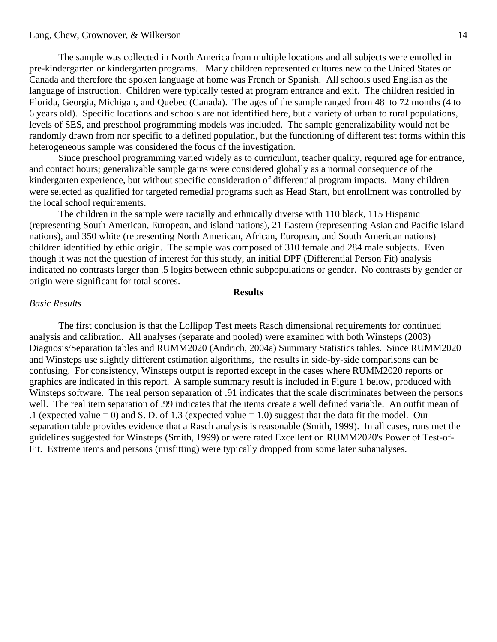### Lang, Chew, Crownover, & Wilkerson

 The sample was collected in North America from multiple locations and all subjects were enrolled in pre-kindergarten or kindergarten programs. Many children represented cultures new to the United States or Canada and therefore the spoken language at home was French or Spanish. All schools used English as the language of instruction. Children were typically tested at program entrance and exit. The children resided in Florida, Georgia, Michigan, and Quebec (Canada). The ages of the sample ranged from 48 to 72 months (4 to 6 years old). Specific locations and schools are not identified here, but a variety of urban to rural populations, levels of SES, and preschool programming models was included. The sample generalizability would not be randomly drawn from nor specific to a defined population, but the functioning of different test forms within this heterogeneous sample was considered the focus of the investigation.

 Since preschool programming varied widely as to curriculum, teacher quality, required age for entrance, and contact hours; generalizable sample gains were considered globally as a normal consequence of the kindergarten experience, but without specific consideration of differential program impacts. Many children were selected as qualified for targeted remedial programs such as Head Start, but enrollment was controlled by the local school requirements.

 The children in the sample were racially and ethnically diverse with 110 black, 115 Hispanic (representing South American, European, and island nations), 21 Eastern (representing Asian and Pacific island nations), and 350 white (representing North American, African, European, and South American nations) children identified by ethic origin. The sample was composed of 310 female and 284 male subjects. Even though it was not the question of interest for this study, an initial DPF (Differential Person Fit) analysis indicated no contrasts larger than .5 logits between ethnic subpopulations or gender. No contrasts by gender or origin were significant for total scores.

# **Results**

#### *Basic Results*

 The first conclusion is that the Lollipop Test meets Rasch dimensional requirements for continued analysis and calibration. All analyses (separate and pooled) were examined with both Winsteps (2003) Diagnosis/Separation tables and RUMM2020 (Andrich, 2004a) Summary Statistics tables. Since RUMM2020 and Winsteps use slightly different estimation algorithms, the results in side-by-side comparisons can be confusing. For consistency, Winsteps output is reported except in the cases where RUMM2020 reports or graphics are indicated in this report. A sample summary result is included in Figure 1 below, produced with Winsteps software. The real person separation of .91 indicates that the scale discriminates between the persons well. The real item separation of .99 indicates that the items create a well defined variable. An outfit mean of .1 (expected value = 0) and S. D. of 1.3 (expected value = 1.0) suggest that the data fit the model. Our separation table provides evidence that a Rasch analysis is reasonable (Smith, 1999). In all cases, runs met the guidelines suggested for Winsteps (Smith, 1999) or were rated Excellent on RUMM2020's Power of Test-of-Fit. Extreme items and persons (misfitting) were typically dropped from some later subanalyses.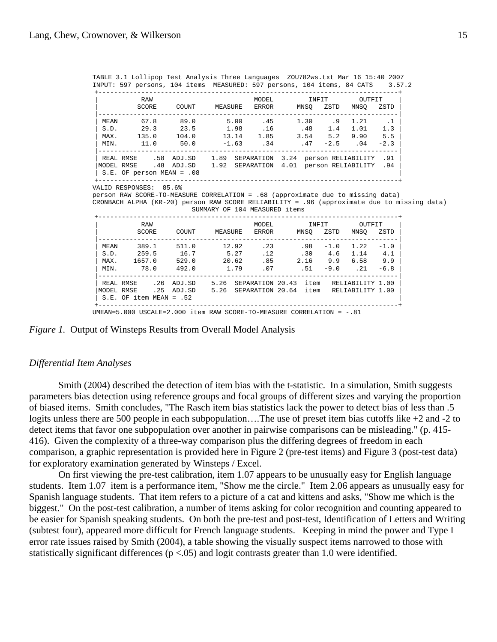+-----------------------------------------------------------------------------+ | RAW RAW MODEL INFIT OUTFIT | SCORE COUNT MEASURE ERROR MNSQ ZSTD MNSQ ZSTD | |-----------------------------------------------------------------------------|  $\vert$  MEAN 67.8 89.0 5.00 .45 1.30 .9 1.21 .1  $\vert$  $\begin{array}{ccccccccccccc} \text{S.D.} & \text{29.3} & \text{23.5} & \text{1.98} & \text{.16} & \text{.48} & \text{1.4} & \text{1.01} & \text{1.3} \end{array}$ | MAX. 135.0 104.0 13.14 1.85 3.54 5.2 9.90 5.5 | | MIN. 11.0 50.0 -1.63 .34 .47 -2.5 .04 -2.3 | |-----------------------------------------------------------------------------| | REAL RMSE .58 ADJ.SD 1.89 SEPARATION 3.24 person RELIABILITY .91 |

|MODEL RMSE .48 ADJ.SD 1.92 SEPARATION 4.01 person RELIABILITY .94 |  $\vert$  S.E. OF person MEAN = .08  $\vert$ +-----------------------------------------------------------------------------+

TABLE 3.1 Lollipop Test Analysis Three Languages ZOU782ws.txt Mar 16 15:40 2007 INPUT: 597 persons, 104 items MEASURED: 597 persons, 104 items, 84 CATS 3.57.2

VALID RESPONSES: 85.6%

person RAW SCORE-TO-MEASURE CORRELATION = .68 (approximate due to missing data) CRONBACH ALPHA (KR-20) person RAW SCORE RELIABILITY = .96 (approximate due to missing data) SUMMARY OF 104 MEASURED items

|            | RAW                       |        |         | MODEL            | INFIT |        | OUTFIT           |        |
|------------|---------------------------|--------|---------|------------------|-------|--------|------------------|--------|
|            | SCORE                     | COUNT  | MEASURE | ERROR            | MNSO  | ZSTD   | MNSO             | ZSTD   |
| MEAN       | 389.1                     | 511.0  | 12.92   | .23              | .98   | $-1.0$ | 1.22             | $-1.0$ |
| S.D.       | 259.5                     | 16.7   | 5.27    | .12              | .30   | 4.6    | 1.14             | 4.1    |
| MAX.       | 1657.0                    | 529.0  | 20.62   | .85              | 2.16  | 9.9    | 6.58             | 9.9    |
| MIN.       | 78.0                      | 492.0  | 1.79    | .07              | . 51  | $-9.0$ | .21              | $-6.8$ |
| REAL RMSE  | . 26                      | ADJ.SD | 5.26    | SEPARATION 20.43 | item  |        | RELIABILITY 1.00 |        |
| MODEL RMSE | .25                       | ADJ.SD | 5.26    | SEPARATION 20.64 | item  |        | RELIABILITY 1.00 |        |
|            | $S.E.$ OF item MEAN = .52 |        |         |                  |       |        |                  |        |

UMEAN=5.000 USCALE=2.000 item RAW SCORE-TO-MEASURE CORRELATION = -.81

*Figure 1.* Output of Winsteps Results from Overall Model Analysis

#### *Differential Item Analyses*

 Smith (2004) described the detection of item bias with the t-statistic. In a simulation, Smith suggests parameters bias detection using reference groups and focal groups of different sizes and varying the proportion of biased items. Smith concludes, "The Rasch item bias statistics lack the power to detect bias of less than .5 logits unless there are 500 people in each subpopulation….The use of preset item bias cutoffs like +2 and -2 to detect items that favor one subpopulation over another in pairwise comparisons can be misleading." (p. 415- 416). Given the complexity of a three-way comparison plus the differing degrees of freedom in each comparison, a graphic representation is provided here in Figure 2 (pre-test items) and Figure 3 (post-test data) for exploratory examination generated by Winsteps / Excel.

 On first viewing the pre-test calibration, item 1.07 appears to be unusually easy for English language students. Item 1.07 item is a performance item, "Show me the circle." Item 2.06 appears as unusually easy for Spanish language students. That item refers to a picture of a cat and kittens and asks, "Show me which is the biggest." On the post-test calibration, a number of items asking for color recognition and counting appeared to be easier for Spanish speaking students. On both the pre-test and post-test, Identification of Letters and Writing (subtest four), appeared more difficult for French language students. Keeping in mind the power and Type I error rate issues raised by Smith (2004), a table showing the visually suspect items narrowed to those with statistically significant differences ( $p < .05$ ) and logit contrasts greater than 1.0 were identified.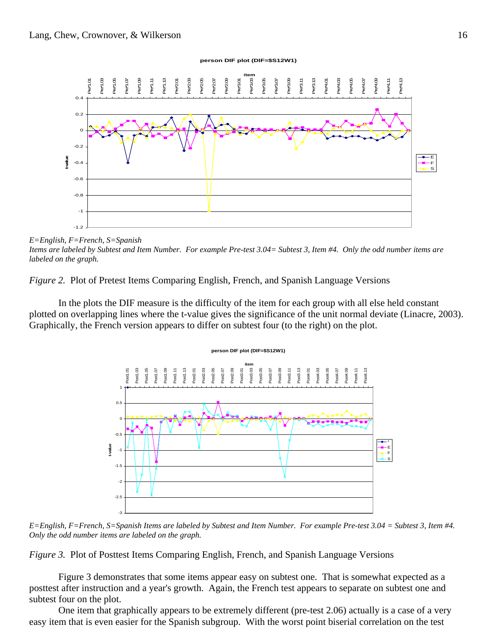

*E=English, F=French, S=Spanish Items are labeled by Subtest and Item Number. For example Pre-test 3.04= Subtest 3, Item #4. Only the odd number items are labeled on the graph.*

*Figure 2.* Plot of Pretest Items Comparing English, French, and Spanish Language Versions

 In the plots the DIF measure is the difficulty of the item for each group with all else held constant plotted on overlapping lines where the t-value gives the significance of the unit normal deviate (Linacre, 2003). Graphically, the French version appears to differ on subtest four (to the right) on the plot.



*E=English, F=French, S=Spanish Items are labeled by Subtest and Item Number. For example Pre-test 3.04 = Subtest 3, Item #4. Only the odd number items are labeled on the graph.* 

*Figure 3.* Plot of Posttest Items Comparing English, French, and Spanish Language Versions

 Figure 3 demonstrates that some items appear easy on subtest one. That is somewhat expected as a posttest after instruction and a year's growth. Again, the French test appears to separate on subtest one and subtest four on the plot.

 One item that graphically appears to be extremely different (pre-test 2.06) actually is a case of a very easy item that is even easier for the Spanish subgroup. With the worst point biserial correlation on the test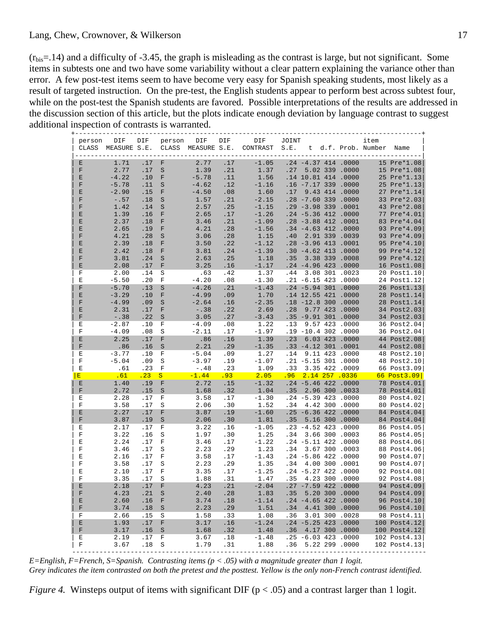$(r_{\text{bis}}=14)$  and a difficulty of -3.45, the graph is misleading as the contrast is large, but not significant. Some items in subtests one and two have some variability without a clear pattern explaining the variance other than error. A few post-test items seem to have become very easy for Spanish speaking students, most likely as a result of targeted instruction. On the pre-test, the English students appear to perform best across subtest four, while on the post-test the Spanish students are favored. Possible interpretations of the results are addressed in the discussion section of this article, but the plots indicate enough deviation by language contrast to suggest additional inspection of contrasts is warranted.

| person           | DIF                          | DIF              | person       | DIF            | DIF        | DIF<br>CLASS MEASURE S.E. CLASS MEASURE S.E. CONTRAST S.E. t d.f. Prob. Number Name | JOINT |                                              |  | item                   |                                                                                                                                                                                                                                                                  |
|------------------|------------------------------|------------------|--------------|----------------|------------|-------------------------------------------------------------------------------------|-------|----------------------------------------------|--|------------------------|------------------------------------------------------------------------------------------------------------------------------------------------------------------------------------------------------------------------------------------------------------------|
| Ε                | 1.71                         | .17              | F            | 2.77           | .17        | $-1.05$                                                                             |       | $.24 -4.37 414 .0000$                        |  |                        | 15 Pre*1.08                                                                                                                                                                                                                                                      |
| $\mathbf{F}$     | 2.77                         | .17              | S            | 1.39           | .21        | 1.37                                                                                |       | .27 5.02 339 .0000                           |  |                        | 15 Pre*1.08                                                                                                                                                                                                                                                      |
| E                | $-4.22$                      | .10              | $\mathbf{F}$ | $-5.78$        | .11        | 1.56                                                                                |       | .14 10.81 414 .0000                          |  |                        |                                                                                                                                                                                                                                                                  |
| F                | $-5.78$                      | .11 S            |              | $-4.62$        | .12        | $-1.16$                                                                             |       | $.16 - 7.17$ 339 .0000                       |  |                        | 15 Pre*1.08<br>25 Pre*1.13<br>27 Pre*1.13<br>27 Pre*1.14<br>33 Pre*2.08<br>43 Pre*2.08<br>77 Pre*4.01<br>83 Pre*4.04<br>93 Pre*4.09<br>95 Pre*4.12<br>99 Pre*4.12<br>99 Pre*4.12<br>99 Pre*4.12<br>99 Pre*4.12<br>99 Pre*4.12<br>99 Pre*4.12<br>99 Pre*4.12<br>9 |
| E                | $-2.90$                      | $.15$ F          |              | $-4.50$        | .08        | 1.60                                                                                |       | .17 9.43 414 .0000                           |  |                        |                                                                                                                                                                                                                                                                  |
| F                | $-0.57$                      | .18 <sub>S</sub> |              | 1.57           | .21        | $-2.15$                                                                             |       | $.28 - 7.60$ 339 .0000                       |  |                        |                                                                                                                                                                                                                                                                  |
| $\mathbf F$      | 1.42                         | .14 <sub>5</sub> |              | 2.57           | .25        | $-1.15$                                                                             |       | $.29 - 3.98$ 339 .0001                       |  |                        |                                                                                                                                                                                                                                                                  |
| E                | 1.39                         | $.16$ F          |              | 2.65           | .17        | $-1.26$                                                                             |       | $.24 - 5.36 412 .0000$                       |  |                        |                                                                                                                                                                                                                                                                  |
| E                | 2.37                         | .18 F            |              | 3.46           | .21        | $-1.09$                                                                             |       | $.28 - 3.88$ 412.0001                        |  |                        |                                                                                                                                                                                                                                                                  |
| E                | 2.65                         | $.19$ F          |              | 4.21           | .28        | $-1.56$                                                                             |       | $.34 - 4.63$ 412.0000                        |  |                        |                                                                                                                                                                                                                                                                  |
| $\mathbf F$      | 4.21                         | .28 S            |              | 3.06           | .28        | 1.15                                                                                |       | .40 2.91 339 .0039                           |  |                        |                                                                                                                                                                                                                                                                  |
| $\mathbf E$      | 2.39                         | .18 F            |              | 3.50           | .22        | $-1.12$                                                                             |       | $.28 - 3.96$ 413 .0001                       |  |                        |                                                                                                                                                                                                                                                                  |
| E                | 2.42                         | .18 F            |              | 3.81           | .24        | $-1.39$<br>1.18                                                                     |       | $.30 - 4.62$ 413.0000                        |  |                        |                                                                                                                                                                                                                                                                  |
| $\mathbf F$      | 3.81                         | .24 S            |              | 2.63           | .25        |                                                                                     |       | .35 3.38 339 .0008                           |  |                        |                                                                                                                                                                                                                                                                  |
| E<br>$\mathbf F$ | 2.08                         | .17 F            |              | 3.25           | .16        | $-1.17$                                                                             |       | $.24 - 4.96$ 423 .0000                       |  |                        |                                                                                                                                                                                                                                                                  |
| E                | 2.00<br>$-5.50$              | .14 S<br>.20 F   |              | .63<br>$-4.20$ | .42<br>.08 | 1.37<br>$-1.30$                                                                     |       | .44 3.08 301 .0023<br>$.21 - 6.15$ 423 .0000 |  |                        | 20 Post1.10<br>24 Post1.12                                                                                                                                                                                                                                       |
| F                | $-5.70$                      | .13 S            |              | $-4.26$        | .21        | $-1.43$                                                                             |       | $.24 - 5.94 301 .0000$                       |  |                        |                                                                                                                                                                                                                                                                  |
| E                | $-3.29$                      | .10 F            |              | $-4.99$        | .09        | 1.70                                                                                |       | .14 12.55 421 .0000                          |  |                        | 26 Post1.13<br>28 Post1.14<br>28 Post1.14<br>34 Post2.03                                                                                                                                                                                                         |
| $\mathbf F$      | $-4.99$                      | .09 S            |              | $-2.64$        | .16        | $-2.35$                                                                             |       | $.18 - 12.8 300 .0000$                       |  |                        |                                                                                                                                                                                                                                                                  |
| E                | 2.31                         | .17 F            |              | $-0.38$        | .22        | 2.69                                                                                |       | .28 9.77 423 .0000                           |  |                        |                                                                                                                                                                                                                                                                  |
| $\mathbf F$      | $-0.38$                      | .22 S            |              | 3.05           | .27        | $-3.43$                                                                             |       | $.35 - 9.91 301 .0000$                       |  |                        | 34 Post2.03                                                                                                                                                                                                                                                      |
| Ε                | $-2.87$                      | .10              | $\mathbf{F}$ | $-4.09$        | .08        | 1.22                                                                                |       | .13 9.57 423 .0000                           |  |                        | 36 Post2.04                                                                                                                                                                                                                                                      |
| F                | $-4.09$                      | .08 S            |              | $-2.11$        | .17        | $-1.97$                                                                             |       | $.19 - 10.4 302 .0000$                       |  |                        | 36 Post2.04                                                                                                                                                                                                                                                      |
| E                | 2.25                         | .17 F            |              | .86            | .16        | 1.39                                                                                |       | .23 6.03 423 .0000                           |  |                        | 44 Post2.08                                                                                                                                                                                                                                                      |
| $\mathbf F$      | .86                          | .16 <sub>S</sub> |              | 2.21           | .29        | $-1.35$                                                                             |       | .33 -4.12 301 .0001                          |  |                        | 44 Post2.08                                                                                                                                                                                                                                                      |
| Ε                | $-3.77$                      | .10 F            |              | $-5.04$        | .09        | 1.27                                                                                |       | .14 9.11 423 .0000                           |  |                        | 48 Post2.10                                                                                                                                                                                                                                                      |
| $\mathbb F$      | $-5.04$                      | .09              | S            | $-3.97$        | .19        | $-1.07$                                                                             |       | $.21 - 5.15 301 .0000$                       |  |                        | 48 Post2.10                                                                                                                                                                                                                                                      |
| Ε                | .61                          | .23              | F            | $-0.48$        | .23        | 1.09                                                                                |       | .33 3.35 422 .0009                           |  |                        | 66 Post3.09                                                                                                                                                                                                                                                      |
| E                | $\overline{\phantom{0}}$ .61 | .23              | S            | $-1.44$        | .93        | $\frac{2.05}{2}$                                                                    |       | $.96$ $2.14$ $257$ $.0336$                   |  | <b>Service Service</b> | 66 Post3.09                                                                                                                                                                                                                                                      |
| Ε                | 1.40                         | .19 F            |              | 2.72           | .15        | $-1.32$                                                                             |       | $.24 - 5.46$ 422.0000                        |  |                        | 78 Post4.01                                                                                                                                                                                                                                                      |
| $\mathbf F$      | 2.72                         | .15 <sub>S</sub> |              | 1.68           | .32        | 1.04                                                                                |       | .35 2.96 300 .0033                           |  |                        | 78 Post4.01                                                                                                                                                                                                                                                      |
| Ε                | 2.28                         | .17              | $\mathbf{F}$ | 3.58           | .17        | $-1.30$                                                                             |       | $.24 - 5.39 423 .0000$                       |  |                        | 80 Post4.02                                                                                                                                                                                                                                                      |
| $\mathbf F$      | 3.58                         | .17              | S            | 2.06           | .30        | 1.52                                                                                |       | .34 4.42 300 .0000                           |  |                        | 80 Post4.02                                                                                                                                                                                                                                                      |
| Ε                | 2.27                         | .17 F            |              | 3.87           | .19        | $-1.60$                                                                             |       | $.25 - 6.36$ 422 .0000                       |  |                        | 84 Post4.04                                                                                                                                                                                                                                                      |
| F                | 3.87                         | .19 <sub>S</sub> |              | 2.06           | .30        | 1.81                                                                                |       | .35 5.16 300 .0000                           |  |                        | 84 Post4.04                                                                                                                                                                                                                                                      |
| Ε                | 2.17                         | .17 F            |              | 3.22           | .16        | $-1.05$                                                                             |       | $.23 - 4.52 423 .0000$                       |  |                        | 86 Post4.05                                                                                                                                                                                                                                                      |
| F                | 3.22                         | .16 <sub>S</sub> |              | 1.97           | .30        | 1.25                                                                                |       | .34 3.66 300 .0003                           |  |                        | 86 Post4.05                                                                                                                                                                                                                                                      |
| Ε                | 2.24                         | .17 F            |              | 3.46           | .17        | $-1.22$                                                                             |       | $.24 - 5.11$ 422.0000                        |  |                        | 88 Post4.06                                                                                                                                                                                                                                                      |
| F                | 3.46                         | .17              | S            | 2.23           | .29        | 1.23                                                                                |       | .34 3.67 300 .0003                           |  |                        | 88 Post4.06                                                                                                                                                                                                                                                      |
| Е                | 2.16                         | .17 F            |              | 3.58           | .17        | $-1.43$                                                                             |       | $.24 - 5.86 422 .0000$                       |  |                        | 90 Post4.07                                                                                                                                                                                                                                                      |
| $\rm F$          | 3.58                         | .17 S            |              | 2.23           | .29        | 1.35                                                                                |       | .34 4.00 300 .0001                           |  |                        | 90 Post4.07                                                                                                                                                                                                                                                      |
| Е                | 2.10                         | .17 F            |              | 3.35           | .17        | $-1.25$                                                                             |       | $.24 - 5.27 422 .0000$                       |  |                        | 92 Post4.08                                                                                                                                                                                                                                                      |
| $\mathbf F$      | 3.35                         | .17 S            |              | 1.88           | .31        | 1.47                                                                                |       | .35 4.23 300 .0000                           |  |                        | 92 Post4.08                                                                                                                                                                                                                                                      |
| E                | 2.18                         | .17 F            |              | 4.23           | .21        | $-2.04$                                                                             |       | $.27 - 7.59$ 422 .0000                       |  |                        | 94 Post4.09                                                                                                                                                                                                                                                      |
| $\mathbf F$      | 4.23                         | .21 S            |              | 2.40           | .28        | 1.83                                                                                |       | .35 5.20 300 .0000                           |  |                        | 94 Post4.09<br>96 Post4.10<br>96 Post4.10                                                                                                                                                                                                                        |
| E                | 2.60                         | $.16$ F          |              | 3.74           | .18        | $-1.14$                                                                             |       | $.24 - 4.65$ 422 .0000                       |  |                        |                                                                                                                                                                                                                                                                  |
| F                | 3.74                         | .18 <sub>S</sub> |              | 2.23           | .29        | 1.51                                                                                |       | .34 4.41 300 .0000                           |  |                        |                                                                                                                                                                                                                                                                  |
| $\mathbf F$      | 2.66                         | .15 <sub>S</sub> |              | 1.58           | .33        | 1.08                                                                                |       | .36 3.01 300 .0028                           |  |                        | 98 Post4.11                                                                                                                                                                                                                                                      |
| E                | 1.93                         | .17              | F            | 3.17           | .16        | $-1.24$                                                                             |       | $.24 - 5.25 423 .0000$                       |  |                        | 100 Post4.12                                                                                                                                                                                                                                                     |
| $\mathbf F$      | 3.17                         | .16              | S            | 1.68           | .32        | 1.48                                                                                |       | .36 4.17 300 .0000                           |  |                        | $100$ Post $4.12$                                                                                                                                                                                                                                                |
|                  | 2.19                         | .17              | $\mathbf F$  | 3.67           |            | $-1.48$ $-25$ $-6.03$ 423 .0000                                                     |       |                                              |  |                        | 102 Post4.13                                                                                                                                                                                                                                                     |
| Ε<br>F           | 3.67                         | .18              | S            | 1.79           | .31        | 1.88                                                                                |       | .36 5.22 299 .0000                           |  |                        | 102 Post4.13                                                                                                                                                                                                                                                     |

*E=English, F=French, S=Spanish. Contrasting items (p < .05) with a magnitude greater than 1 logit. Grey indicates the item contrasted on both the pretest and the posttest. Yellow is the only non-French contrast identified.* 

*Figure 4.* Winsteps output of items with significant DIF ( $p < .05$ ) and a contrast larger than 1 logit.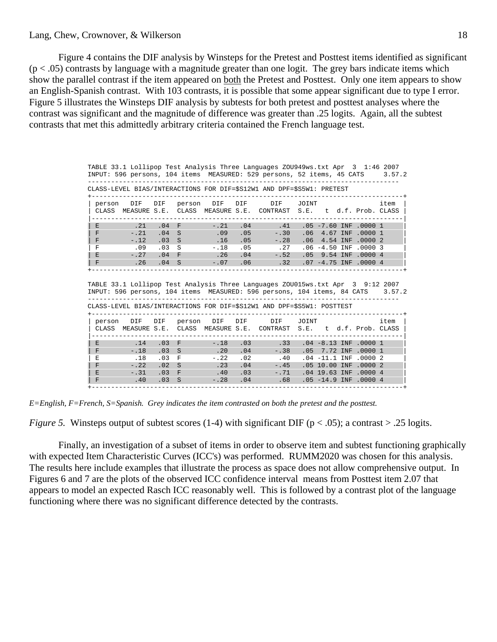### Lang, Chew, Crownover, & Wilkerson

 Figure 4 contains the DIF analysis by Winsteps for the Pretest and Posttest items identified as significant  $(p < .05)$  contrasts by language with a magnitude greater than one logit. The grey bars indicate items which show the parallel contrast if the item appeared on both the Pretest and Posttest. Only one item appears to show an English-Spanish contrast. With 103 contrasts, it is possible that some appear significant due to type I error. Figure 5 illustrates the Winsteps DIF analysis by subtests for both pretest and posttest analyses where the contrast was significant and the magnitude of difference was greater than .25 logits. Again, all the subtest contrasts that met this admittedly arbitrary criteria contained the French language test.

> TABLE 33.1 Lollipop Test Analysis Three Languages ZOU949ws.txt Apr 3 1:46 2007 INPUT: 596 persons, 104 items MEASURED: 529 persons, 52 items, 45 CATS 3.57.2 --------------------------------------------------------------------------------

CLASS-LEVEL BIAS/INTERACTIONS FOR DIF=\$S12W1 AND DPF=\$S5W1: PRETEST

| person     | DIF DIF      |                  | person | DIF                | DIF | DIF                                                                                  | JOINT |  |                            | item   |
|------------|--------------|------------------|--------|--------------------|-----|--------------------------------------------------------------------------------------|-------|--|----------------------------|--------|
| CLASS      | MEASURE S.E. |                  |        | CLASS MEASURE S.E. |     | CONTRAST S.E. t d.f. Prob. CLASS                                                     |       |  |                            |        |
|            |              |                  |        |                    |     |                                                                                      |       |  |                            |        |
| E          | .21          | $.04$ F          |        | $-.21$             | .04 | .41                                                                                  |       |  | $.05 - 7.60$ INF $.0000$ 1 |        |
| F          | $- .21$      | .04 <sub>5</sub> |        | .09                | .05 | $-.30$                                                                               |       |  | $.06$ 4.67 INF $.0000$ 1   |        |
| F          | $-.12$       | .03              | - S    | .16                | .05 | $-.28$                                                                               |       |  | .06 4.54 INF .0000 2       |        |
| F          | .09          | .03              | - S    | $-.18$             | .05 | $\ldots$ 27                                                                          |       |  | $.06 - 4.50$ INF $.00003$  |        |
| E          | $-.27$       | .04              | $-F$   | .26                | .04 | $-.52$                                                                               |       |  | .05 9.54 INF .0000 4       |        |
| $_{\rm F}$ | .26          | .04 S            |        | $-.07$             | .06 | .32                                                                                  |       |  | $.07 - 4.75$ INF $.00004$  |        |
|            |              |                  |        |                    |     |                                                                                      |       |  |                            |        |
|            |              |                  |        |                    |     |                                                                                      |       |  |                            |        |
|            |              |                  |        |                    |     | TABLE 33.1 Lollipop Test Analysis Three Languages ZOU015ws.txt Apr 3 9:12 2007       |       |  |                            |        |
|            |              |                  |        |                    |     | INPUT: 596 persons, 104 items  MEASURED: 596 persons, 104 items, 84 CATS             |       |  |                            | 3.57.2 |
|            |              |                  |        |                    |     |                                                                                      |       |  |                            |        |
|            |              |                  |        |                    |     | המהההמתי 1.הופטל בהתת תונג 1.המ-201 הדת תמה מומדהה <i>ו</i> תההוד/מגדת והזוה ז ממגומ |       |  |                            |        |

| CLASS-LEVEL BIAS/INTERACTIONS FOR DIF=\$S12W1 AND DPF=\$S5W1: POSTTEST |        |       |        |        |     |                                                                  |       |  |  |                            |      |
|------------------------------------------------------------------------|--------|-------|--------|--------|-----|------------------------------------------------------------------|-------|--|--|----------------------------|------|
| person                                                                 | DIF    | DIF   | person | DIF    | DIF | DIF                                                              | JOINT |  |  |                            | item |
| CLASS                                                                  |        |       |        |        |     | MEASURE S.E. CLASS MEASURE S.E. CONTRAST S.E. t d.f. Prob. CLASS |       |  |  |                            |      |
|                                                                        |        |       |        |        |     |                                                                  |       |  |  |                            |      |
| E                                                                      | .14    | .03 F |        | $-.18$ | .03 | .33                                                              |       |  |  | $.04 - 8.13$ INF $.0000$ 1 |      |
| ΙF                                                                     | $-.18$ | .03 S |        | .20    | .04 | $-.38$                                                           |       |  |  | .05 7.72 INF .0000 1       |      |
| Е                                                                      | .18    | .03   | – F    | $-.22$ | .02 | .40                                                              |       |  |  | $.04 - 11.1$ INF $.00002$  |      |
| $\mathsf{F}$                                                           | $-.22$ | .02 S |        | .23    | .04 | $-.45$                                                           |       |  |  | .05 10.00 INF .0000 2      |      |
| E                                                                      | $-.31$ | .03 F |        | .40    | .03 | $-.71$                                                           |       |  |  | .04 19.63 INF .0000 4      |      |
| F                                                                      | .40    | .03 S |        | $-.28$ | .04 | .68                                                              |       |  |  | $.05 - 14.9$ INF $.00004$  |      |
|                                                                        |        |       |        |        |     |                                                                  |       |  |  |                            |      |

*E=English, F=French, S=Spanish. Grey indicates the item contrasted on both the pretest and the posttest.* 

*Figure 5.* Winsteps output of subtest scores (1-4) with significant DIF ( $p < .05$ ); a contrast  $> .25$  logits.

 Finally, an investigation of a subset of items in order to observe item and subtest functioning graphically with expected Item Characteristic Curves (ICC's) was performed. RUMM2020 was chosen for this analysis. The results here include examples that illustrate the process as space does not allow comprehensive output. In Figures 6 and 7 are the plots of the observed ICC confidence interval means from Posttest item 2.07 that appears to model an expected Rasch ICC reasonably well. This is followed by a contrast plot of the language functioning where there was no significant difference detected by the contrasts.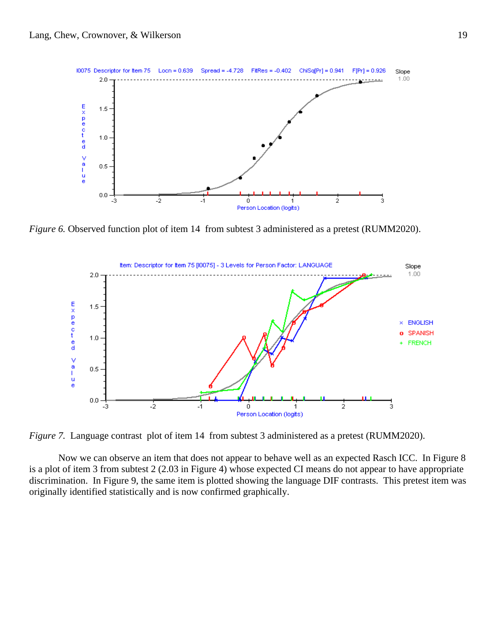

*Figure 6.* Observed function plot of item 14 from subtest 3 administered as a pretest (RUMM2020).



*Figure 7.* Language contrast plot of item 14 from subtest 3 administered as a pretest (RUMM2020).

 Now we can observe an item that does not appear to behave well as an expected Rasch ICC. In Figure 8 is a plot of item 3 from subtest 2 (2.03 in Figure 4) whose expected CI means do not appear to have appropriate discrimination. In Figure 9, the same item is plotted showing the language DIF contrasts. This pretest item was originally identified statistically and is now confirmed graphically.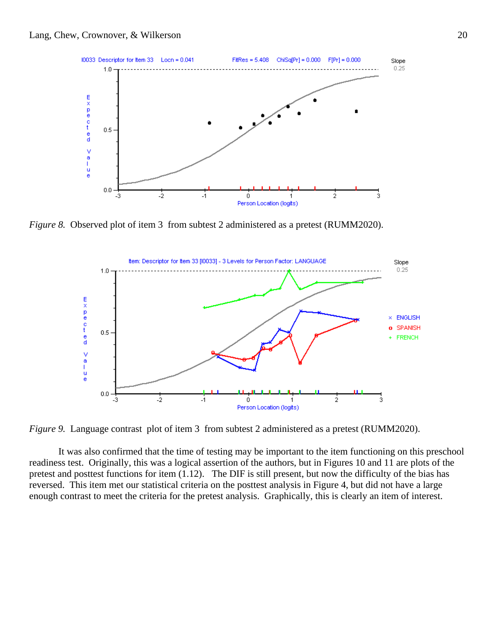

*Figure 8.* Observed plot of item 3 from subtest 2 administered as a pretest (RUMM2020).



*Figure 9.* Language contrast plot of item 3 from subtest 2 administered as a pretest (RUMM2020).

 It was also confirmed that the time of testing may be important to the item functioning on this preschool readiness test. Originally, this was a logical assertion of the authors, but in Figures 10 and 11 are plots of the pretest and posttest functions for item (1.12). The DIF is still present, but now the difficulty of the bias has reversed. This item met our statistical criteria on the posttest analysis in Figure 4, but did not have a large enough contrast to meet the criteria for the pretest analysis. Graphically, this is clearly an item of interest.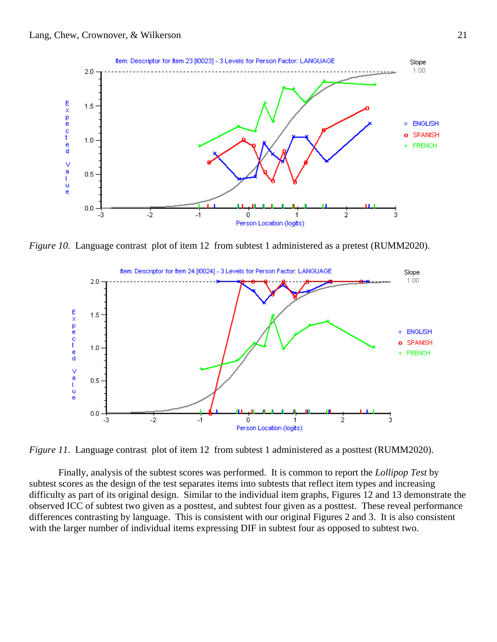

*Figure 10.* Language contrast plot of item 12 from subtest 1 administered as a pretest (RUMM2020).



*Figure 11.* Language contrast plot of item 12 from subtest 1 administered as a posttest (RUMM2020).

 Finally, analysis of the subtest scores was performed. It is common to report the *Lollipop Test* by subtest scores as the design of the test separates items into subtests that reflect item types and increasing difficulty as part of its original design. Similar to the individual item graphs, Figures 12 and 13 demonstrate the observed ICC of subtest two given as a posttest, and subtest four given as a posttest. These reveal performance differences contrasting by language. This is consistent with our original Figures 2 and 3. It is also consistent with the larger number of individual items expressing DIF in subtest four as opposed to subtest two.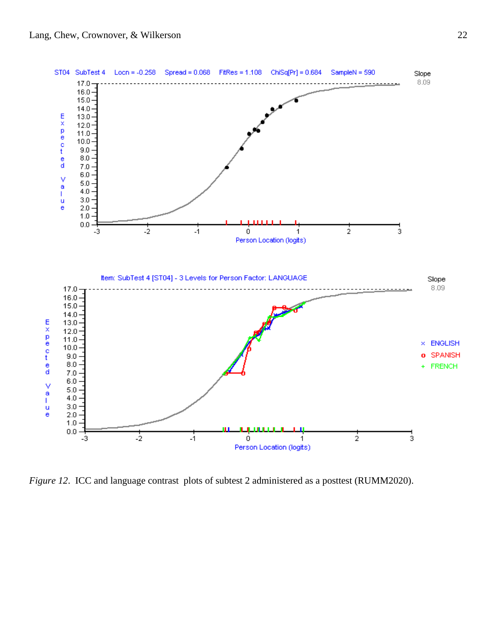

*Figure 12*. ICC and language contrast plots of subtest 2 administered as a posttest (RUMM2020).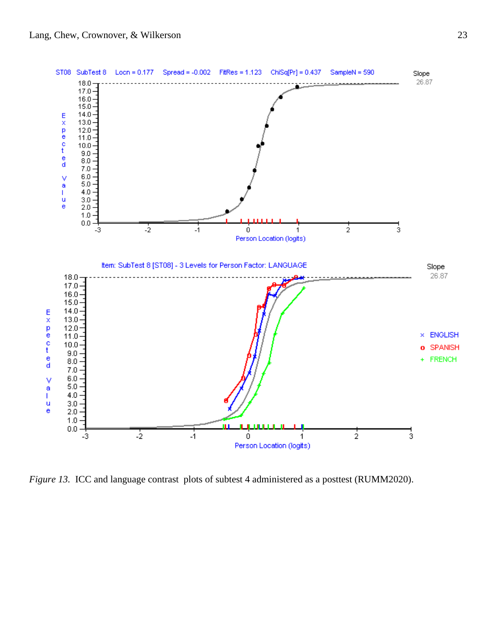

*Figure 13.* ICC and language contrast plots of subtest 4 administered as a posttest (RUMM2020).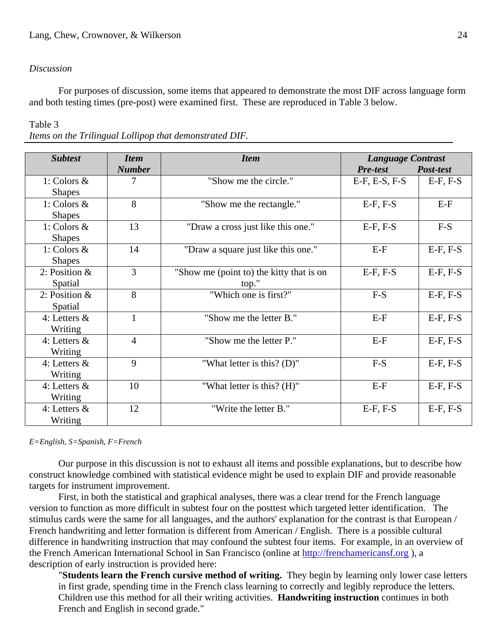# *Discussion*

 For purposes of discussion, some items that appeared to demonstrate the most DIF across language form and both testing times (pre-post) were examined first. These are reproduced in Table 3 below.

Table 3

*Items on the Trilingual Lollipop that demonstrated DIF.* 

| <b>Subtest</b>  | <b>Item</b>    | <b>Item</b>                              |                 | <b>Language Contrast</b> |  |  |  |  |
|-----------------|----------------|------------------------------------------|-----------------|--------------------------|--|--|--|--|
|                 | <b>Number</b>  |                                          | <b>Pre-test</b> | Post-test                |  |  |  |  |
| 1: Colors $\&$  | 7              | "Show me the circle."                    | $E-F, E-S, F-S$ | $E-F, F-S$               |  |  |  |  |
| <b>Shapes</b>   |                |                                          |                 |                          |  |  |  |  |
| 1: Colors $\&$  | 8              | "Show me the rectangle."                 | $E-F, F-S$      | $E-F$                    |  |  |  |  |
| <b>Shapes</b>   |                |                                          |                 |                          |  |  |  |  |
| 1: Colors &     | 13             | "Draw a cross just like this one."       | $E-F, F-S$      | $F-S$                    |  |  |  |  |
| <b>Shapes</b>   |                |                                          |                 |                          |  |  |  |  |
| 1: Colors $\&$  | 14             | "Draw a square just like this one."      | $E-F$           | $E-F, F-S$               |  |  |  |  |
| <b>Shapes</b>   |                |                                          |                 |                          |  |  |  |  |
| 2: Position $&$ | 3              | "Show me (point to) the kitty that is on | $E-F, F-S$      | $E-F, F-S$               |  |  |  |  |
| Spatial         |                | top."                                    |                 |                          |  |  |  |  |
| 2: Position $&$ | 8              | "Which one is first?"                    | $F-S$           | $E-F, F-S$               |  |  |  |  |
| Spatial         |                |                                          |                 |                          |  |  |  |  |
| 4: Letters $&$  | $\mathbf{1}$   | "Show me the letter B."                  | $E-F$           | $E-F, F-S$               |  |  |  |  |
| Writing         |                |                                          |                 |                          |  |  |  |  |
| 4: Letters $&$  | $\overline{4}$ | "Show me the letter P."                  | $E-F$           | $E-F, F-S$               |  |  |  |  |
| Writing         |                |                                          |                 |                          |  |  |  |  |
| 4: Letters $&$  | 9              | "What letter is this? $(D)$ "            | $F-S$           | $E-F, F-S$               |  |  |  |  |
| Writing         |                |                                          |                 |                          |  |  |  |  |
| 4: Letters $&$  | 10             | "What letter is this? (H)"               | $E-F$           | $E-F, F-S$               |  |  |  |  |
| Writing         |                |                                          |                 |                          |  |  |  |  |
| 4: Letters $&$  | 12             | "Write the letter B."                    | $E-F, F-S$      | $E-F, F-S$               |  |  |  |  |
| Writing         |                |                                          |                 |                          |  |  |  |  |

*E=English, S=Spanish, F=French* 

 Our purpose in this discussion is not to exhaust all items and possible explanations, but to describe how construct knowledge combined with statistical evidence might be used to explain DIF and provide reasonable targets for instrument improvement.

 First, in both the statistical and graphical analyses, there was a clear trend for the French language version to function as more difficult in subtest four on the posttest which targeted letter identification. The stimulus cards were the same for all languages, and the authors' explanation for the contrast is that European / French handwriting and letter formation is different from American / English. There is a possible cultural difference in handwriting instruction that may confound the subtest four items. For example, in an overview of the French American International School in San Francisco (online at http://frenchamericansf.org ), a description of early instruction is provided here:

"**Students learn the French cursive method of writing.** They begin by learning only lower case letters in first grade, spending time in the French class learning to correctly and legibly reproduce the letters. Children use this method for all their writing activities. **Handwriting instruction** continues in both French and English in second grade."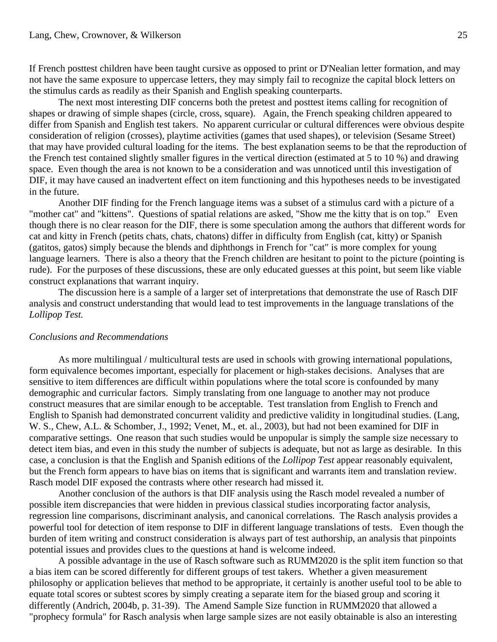If French posttest children have been taught cursive as opposed to print or D'Nealian letter formation, and may not have the same exposure to uppercase letters, they may simply fail to recognize the capital block letters on the stimulus cards as readily as their Spanish and English speaking counterparts.

 The next most interesting DIF concerns both the pretest and posttest items calling for recognition of shapes or drawing of simple shapes (circle, cross, square). Again, the French speaking children appeared to differ from Spanish and English test takers. No apparent curricular or cultural differences were obvious despite consideration of religion (crosses), playtime activities (games that used shapes), or television (Sesame Street) that may have provided cultural loading for the items. The best explanation seems to be that the reproduction of the French test contained slightly smaller figures in the vertical direction (estimated at 5 to 10 %) and drawing space. Even though the area is not known to be a consideration and was unnoticed until this investigation of DIF, it may have caused an inadvertent effect on item functioning and this hypotheses needs to be investigated in the future.

 Another DIF finding for the French language items was a subset of a stimulus card with a picture of a "mother cat" and "kittens". Questions of spatial relations are asked, "Show me the kitty that is on top." Even though there is no clear reason for the DIF, there is some speculation among the authors that different words for cat and kitty in French (petits chats, chats, chatons) differ in difficulty from English (cat, kitty) or Spanish (gatitos, gatos) simply because the blends and diphthongs in French for "cat" is more complex for young language learners. There is also a theory that the French children are hesitant to point to the picture (pointing is rude). For the purposes of these discussions, these are only educated guesses at this point, but seem like viable construct explanations that warrant inquiry.

 The discussion here is a sample of a larger set of interpretations that demonstrate the use of Rasch DIF analysis and construct understanding that would lead to test improvements in the language translations of the *Lollipop Test.* 

#### *Conclusions and Recommendations*

As more multilingual / multicultural tests are used in schools with growing international populations, form equivalence becomes important, especially for placement or high-stakes decisions. Analyses that are sensitive to item differences are difficult within populations where the total score is confounded by many demographic and curricular factors. Simply translating from one language to another may not produce construct measures that are similar enough to be acceptable. Test translation from English to French and English to Spanish had demonstrated concurrent validity and predictive validity in longitudinal studies. (Lang, W. S., Chew, A.L. & Schomber, J., 1992; Venet, M., et. al., 2003), but had not been examined for DIF in comparative settings. One reason that such studies would be unpopular is simply the sample size necessary to detect item bias, and even in this study the number of subjects is adequate, but not as large as desirable. In this case, a conclusion is that the English and Spanish editions of the *Lollipop Test* appear reasonably equivalent, but the French form appears to have bias on items that is significant and warrants item and translation review. Rasch model DIF exposed the contrasts where other research had missed it.

 Another conclusion of the authors is that DIF analysis using the Rasch model revealed a number of possible item discrepancies that were hidden in previous classical studies incorporating factor analysis, regression line comparisons, discriminant analysis, and canonical correlations. The Rasch analysis provides a powerful tool for detection of item response to DIF in different language translations of tests. Even though the burden of item writing and construct consideration is always part of test authorship, an analysis that pinpoints potential issues and provides clues to the questions at hand is welcome indeed.

 A possible advantage in the use of Rasch software such as RUMM2020 is the split item function so that a bias item can be scored differently for different groups of test takers. Whether a given measurement philosophy or application believes that method to be appropriate, it certainly is another useful tool to be able to equate total scores or subtest scores by simply creating a separate item for the biased group and scoring it differently (Andrich, 2004b, p. 31-39). The Amend Sample Size function in RUMM2020 that allowed a "prophecy formula" for Rasch analysis when large sample sizes are not easily obtainable is also an interesting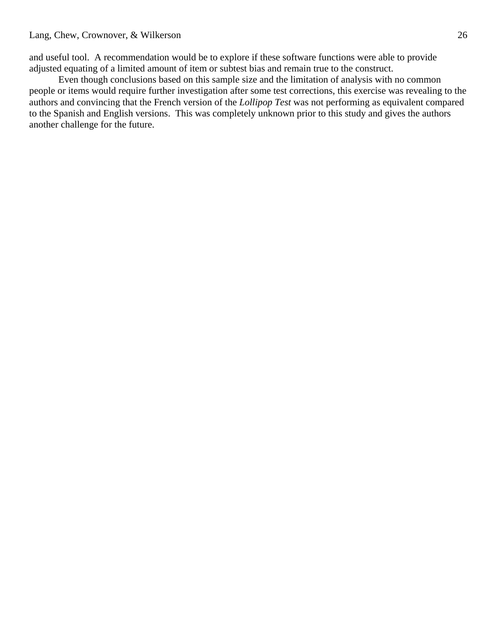and useful tool. A recommendation would be to explore if these software functions were able to provide adjusted equating of a limited amount of item or subtest bias and remain true to the construct.

 Even though conclusions based on this sample size and the limitation of analysis with no common people or items would require further investigation after some test corrections, this exercise was revealing to the authors and convincing that the French version of the *Lollipop Test* was not performing as equivalent compared to the Spanish and English versions. This was completely unknown prior to this study and gives the authors another challenge for the future.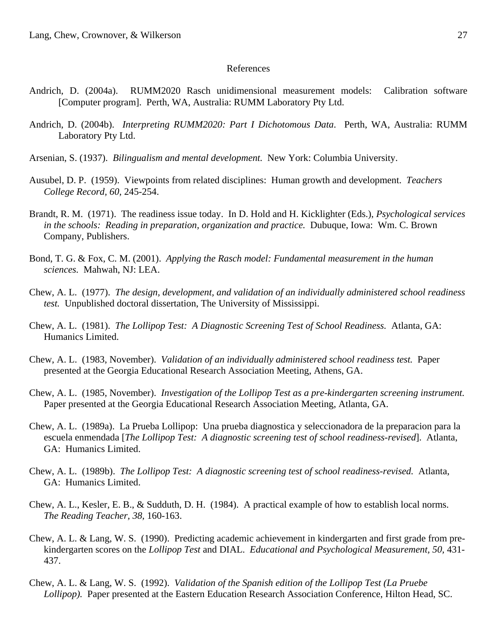#### References

- Andrich, D. (2004a). RUMM2020 Rasch unidimensional measurement models: Calibration software [Computer program]. Perth, WA, Australia: RUMM Laboratory Pty Ltd.
- Andrich, D. (2004b). *Interpreting RUMM2020: Part I Dichotomous Data*. Perth, WA, Australia: RUMM Laboratory Pty Ltd.
- Arsenian, S. (1937). *Bilingualism and mental development.* New York: Columbia University.
- Ausubel, D. P. (1959). Viewpoints from related disciplines: Human growth and development. *Teachers College Record, 60,* 245-254.
- Brandt, R. M. (1971). The readiness issue today. In D. Hold and H. Kicklighter (Eds.), *Psychological services in the schools: Reading in preparation, organization and practice.* Dubuque, Iowa: Wm. C. Brown Company, Publishers.
- Bond, T. G. & Fox, C. M. (2001). *Applying the Rasch model: Fundamental measurement in the human sciences.* Mahwah, NJ: LEA.
- Chew, A. L. (1977). *The design, development, and validation of an individually administered school readiness test.* Unpublished doctoral dissertation, The University of Mississippi.
- Chew, A. L. (1981). *The Lollipop Test: A Diagnostic Screening Test of School Readiness.* Atlanta, GA: Humanics Limited.
- Chew, A. L. (1983, November). *Validation of an individually administered school readiness test.* Paper presented at the Georgia Educational Research Association Meeting, Athens, GA.
- Chew, A. L. (1985, November). *Investigation of the Lollipop Test as a pre-kindergarten screening instrument.*  Paper presented at the Georgia Educational Research Association Meeting, Atlanta, GA.
- Chew, A. L. (1989a). La Prueba Lollipop: Una prueba diagnostica y seleccionadora de la preparacion para la escuela enmendada [*The Lollipop Test: A diagnostic screening test of school readiness-revised*]. Atlanta, GA: Humanics Limited.
- Chew, A. L. (1989b). *The Lollipop Test: A diagnostic screening test of school readiness-revised.* Atlanta, GA: Humanics Limited.
- Chew, A. L., Kesler, E. B., & Sudduth, D. H. (1984). A practical example of how to establish local norms. *The Reading Teacher, 38,* 160-163.
- Chew, A. L. & Lang, W. S. (1990). Predicting academic achievement in kindergarten and first grade from prekindergarten scores on the *Lollipop Test* and DIAL. *Educational and Psychological Measurement, 50,* 431- 437.
- Chew, A. L. & Lang, W. S. (1992). *Validation of the Spanish edition of the Lollipop Test (La Pruebe Lollipop).* Paper presented at the Eastern Education Research Association Conference, Hilton Head, SC.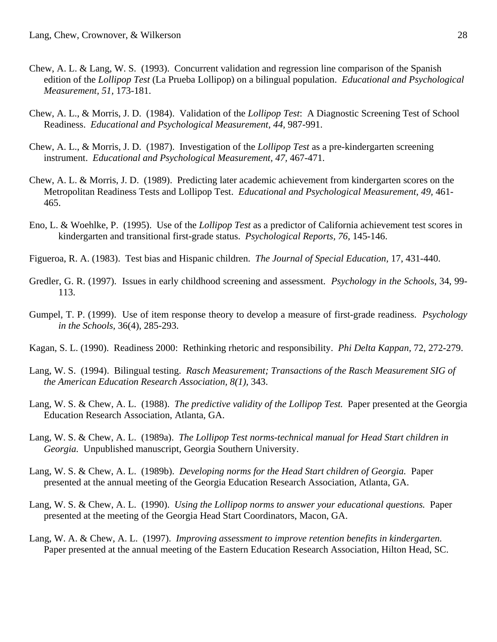- Chew, A. L. & Lang, W. S. (1993). Concurrent validation and regression line comparison of the Spanish edition of the *Lollipop Test* (La Prueba Lollipop) on a bilingual population. *Educational and Psychological Measurement, 51,* 173-181.
- Chew, A. L., & Morris, J. D. (1984). Validation of the *Lollipop Test*: A Diagnostic Screening Test of School Readiness. *Educational and Psychological Measurement, 44,* 987-991.
- Chew, A. L., & Morris, J. D. (1987). Investigation of the *Lollipop Test* as a pre-kindergarten screening instrument. *Educational and Psychological Measurement, 47,* 467-471.
- Chew, A. L. & Morris, J. D. (1989). Predicting later academic achievement from kindergarten scores on the Metropolitan Readiness Tests and Lollipop Test. *Educational and Psychological Measurement, 49,* 461- 465.
- Eno, L. & Woehlke, P. (1995). Use of the *Lollipop Test* as a predictor of California achievement test scores in kindergarten and transitional first-grade status. *Psychological Reports, 76,* 145-146.
- Figueroa, R. A. (1983). Test bias and Hispanic children. *The Journal of Special Education,* 17, 431-440.
- Gredler, G. R. (1997). Issues in early childhood screening and assessment. *Psychology in the Schools,* 34, 99- 113.
- Gumpel, T. P. (1999). Use of item response theory to develop a measure of first-grade readiness. *Psychology in the Schools,* 36(4), 285-293.
- Kagan, S. L. (1990). Readiness 2000: Rethinking rhetoric and responsibility. *Phi Delta Kappan,* 72, 272-279.
- Lang, W. S. (1994). Bilingual testing. *Rasch Measurement; Transactions of the Rasch Measurement SIG of the American Education Research Association, 8(1),* 343.
- Lang, W. S. & Chew, A. L. (1988). *The predictive validity of the Lollipop Test.* Paper presented at the Georgia Education Research Association, Atlanta, GA.
- Lang, W. S. & Chew, A. L. (1989a). *The Lollipop Test norms-technical manual for Head Start children in Georgia.* Unpublished manuscript*,* Georgia Southern University.
- Lang, W. S. & Chew, A. L. (1989b). *Developing norms for the Head Start children of Georgia.* Paper presented at the annual meeting of the Georgia Education Research Association, Atlanta, GA.
- Lang, W. S. & Chew, A. L. (1990). *Using the Lollipop norms to answer your educational questions.* Paper presented at the meeting of the Georgia Head Start Coordinators, Macon, GA.
- Lang, W. A. & Chew, A. L. (1997). *Improving assessment to improve retention benefits in kindergarten.* Paper presented at the annual meeting of the Eastern Education Research Association, Hilton Head, SC.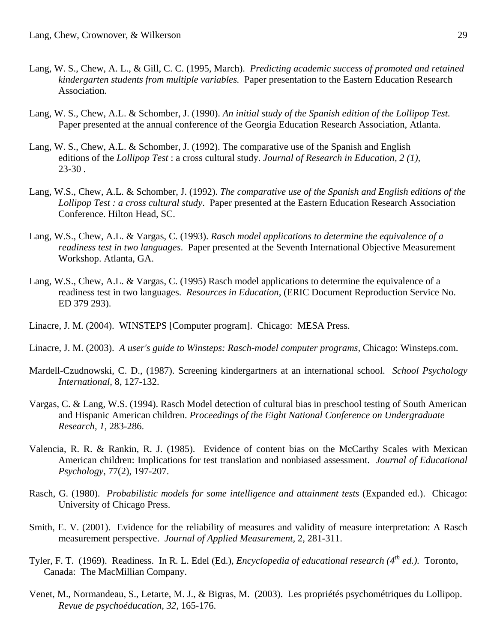- Lang, W. S., Chew, A. L., & Gill, C. C. (1995, March). *Predicting academic success of promoted and retained kindergarten students from multiple variables.* Paper presentation to the Eastern Education Research Association.
- Lang, W. S., Chew, A.L. & Schomber, J. (1990). *An initial study of the Spanish edition of the Lollipop Test*. Paper presented at the annual conference of the Georgia Education Research Association, Atlanta.
- Lang, W. S., Chew, A.L. & Schomber, J. (1992). The comparative use of the Spanish and English editions of the *Lollipop Test* : a cross cultural study. *Journal of Research in Education, 2 (1),*  23-30 *.*
- Lang, W.S., Chew, A.L. & Schomber, J. (1992). *The comparative use of the Spanish and English editions of the Lollipop Test : a cross cultural study*. Paper presented at the Eastern Education Research Association Conference. Hilton Head, SC.
- Lang, W.S., Chew, A.L. & Vargas, C. (1993). *Rasch model applications to determine the equivalence of a readiness test in two languages*. Paper presented at the Seventh International Objective Measurement Workshop. Atlanta, GA.
- Lang, W.S., Chew, A.L. & Vargas, C. (1995) Rasch model applications to determine the equivalence of a readiness test in two languages. *Resources in Education*, (ERIC Document Reproduction Service No. ED 379 293).
- Linacre, J. M. (2004). WINSTEPS [Computer program]. Chicago: MESA Press.
- Linacre, J. M. (2003). *A user's guide to Winsteps: Rasch-model computer programs,* Chicago: Winsteps.com.
- Mardell-Czudnowski, C. D., (1987). Screening kindergartners at an international school. *School Psychology International,* 8, 127-132.
- Vargas, C. & Lang, W.S. (1994). Rasch Model detection of cultural bias in preschool testing of South American and Hispanic American children. *Proceedings of the Eight National Conference on Undergraduate Research*, *1*, 283-286.
- Valencia, R. R. & Rankin, R. J. (1985). Evidence of content bias on the McCarthy Scales with Mexican American children: Implications for test translation and nonbiased assessment. *Journal of Educational Psychology,* 77(2), 197-207.
- Rasch, G. (1980). *Probabilistic models for some intelligence and attainment tests* (Expanded ed.). Chicago: University of Chicago Press.
- Smith, E. V. (2001). Evidence for the reliability of measures and validity of measure interpretation: A Rasch measurement perspective. *Journal of Applied Measurement,* 2, 281-311.
- Tyler, F. T. (1969). Readiness. In R. L. Edel (Ed.), *Encyclopedia of educational research (4th ed.).* Toronto, Canada: The MacMillian Company.
- Venet, M., Normandeau, S., Letarte, M. J., & Bigras, M. (2003). Les propriétés psychométriques du Lollipop. *Revue de psychoéducation, 32,* 165-176.